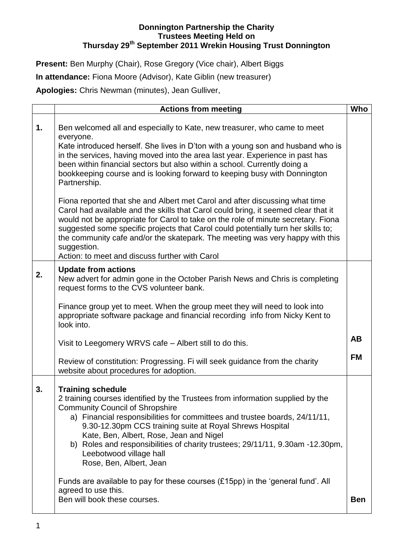## **Donnington Partnership the Charity Trustees Meeting Held on Thursday 29th September 2011 Wrekin Housing Trust Donnington**

Present: Ben Murphy (Chair), Rose Gregory (Vice chair), Albert Biggs **In attendance:** Fiona Moore (Advisor), Kate Giblin (new treasurer) **Apologies:** Chris Newman (minutes), Jean Gulliver,

|    | <b>Actions from meeting</b>                                                                                                                                                                                                                                                                                                                                                                                                                                                                                                                                                                                                                                                                                                                                                                                                                                                                                                          | Who                    |
|----|--------------------------------------------------------------------------------------------------------------------------------------------------------------------------------------------------------------------------------------------------------------------------------------------------------------------------------------------------------------------------------------------------------------------------------------------------------------------------------------------------------------------------------------------------------------------------------------------------------------------------------------------------------------------------------------------------------------------------------------------------------------------------------------------------------------------------------------------------------------------------------------------------------------------------------------|------------------------|
| 1. | Ben welcomed all and especially to Kate, new treasurer, who came to meet<br>everyone.<br>Kate introduced herself. She lives in D'ton with a young son and husband who is<br>in the services, having moved into the area last year. Experience in past has<br>been within financial sectors but also within a school. Currently doing a<br>bookkeeping course and is looking forward to keeping busy with Donnington<br>Partnership.<br>Fiona reported that she and Albert met Carol and after discussing what time<br>Carol had available and the skills that Carol could bring, it seemed clear that it<br>would not be appropriate for Carol to take on the role of minute secretary. Fiona<br>suggested some specific projects that Carol could potentially turn her skills to;<br>the community cafe and/or the skatepark. The meeting was very happy with this<br>suggestion.<br>Action: to meet and discuss further with Carol |                        |
| 2. | <b>Update from actions</b><br>New advert for admin gone in the October Parish News and Chris is completing<br>request forms to the CVS volunteer bank.<br>Finance group yet to meet. When the group meet they will need to look into<br>appropriate software package and financial recording info from Nicky Kent to<br>look into.<br>Visit to Leegomery WRVS cafe - Albert still to do this.<br>Review of constitution: Progressing. Fi will seek guidance from the charity                                                                                                                                                                                                                                                                                                                                                                                                                                                         | <b>AB</b><br><b>FM</b> |
| 3. | website about procedures for adoption.<br><b>Training schedule</b><br>2 training courses identified by the Trustees from information supplied by the<br><b>Community Council of Shropshire</b><br>a) Financial responsibilities for committees and trustee boards, 24/11/11,<br>9.30-12.30pm CCS training suite at Royal Shrews Hospital<br>Kate, Ben, Albert, Rose, Jean and Nigel<br>b) Roles and responsibilities of charity trustees; 29/11/11, 9.30am -12.30pm,<br>Leebotwood village hall<br>Rose, Ben, Albert, Jean<br>Funds are available to pay for these courses (£15pp) in the 'general fund'. All<br>agreed to use this.<br>Ben will book these courses.                                                                                                                                                                                                                                                                 | <b>Ben</b>             |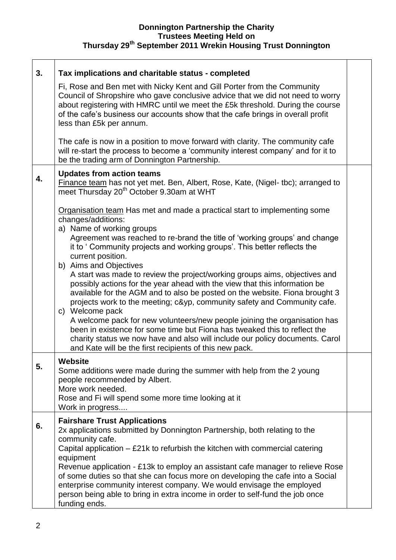## **Donnington Partnership the Charity Trustees Meeting Held on Thursday 29th September 2011 Wrekin Housing Trust Donnington**

| 3. | Tax implications and charitable status - completed                                                                                                                                                                                                                                                                                                                                                                                                                                                                                                                                                                                                                                                                                                                                                                                                                                                                                                                                  |  |
|----|-------------------------------------------------------------------------------------------------------------------------------------------------------------------------------------------------------------------------------------------------------------------------------------------------------------------------------------------------------------------------------------------------------------------------------------------------------------------------------------------------------------------------------------------------------------------------------------------------------------------------------------------------------------------------------------------------------------------------------------------------------------------------------------------------------------------------------------------------------------------------------------------------------------------------------------------------------------------------------------|--|
|    | Fi, Rose and Ben met with Nicky Kent and Gill Porter from the Community<br>Council of Shropshire who gave conclusive advice that we did not need to worry<br>about registering with HMRC until we meet the £5k threshold. During the course<br>of the cafe's business our accounts show that the cafe brings in overall profit<br>less than £5k per annum.                                                                                                                                                                                                                                                                                                                                                                                                                                                                                                                                                                                                                          |  |
|    | The cafe is now in a position to move forward with clarity. The community cafe<br>will re-start the process to become a 'community interest company' and for it to<br>be the trading arm of Donnington Partnership.                                                                                                                                                                                                                                                                                                                                                                                                                                                                                                                                                                                                                                                                                                                                                                 |  |
| 4. | <b>Updates from action teams</b><br>Finance team has not yet met. Ben, Albert, Rose, Kate, (Nigel- tbc); arranged to<br>meet Thursday 20 <sup>th</sup> October 9.30am at WHT                                                                                                                                                                                                                                                                                                                                                                                                                                                                                                                                                                                                                                                                                                                                                                                                        |  |
|    | Organisation team Has met and made a practical start to implementing some<br>changes/additions:<br>a) Name of working groups<br>Agreement was reached to re-brand the title of 'working groups' and change<br>it to 'Community projects and working groups'. This better reflects the<br>current position.<br>b) Aims and Objectives<br>A start was made to review the project/working groups aims, objectives and<br>possibly actions for the year ahead with the view that this information be<br>available for the AGM and to also be posted on the website. Fiona brought 3<br>projects work to the meeting; c&yp, community safety and Community cafe.<br>c) Welcome pack<br>A welcome pack for new volunteers/new people joining the organisation has<br>been in existence for some time but Fiona has tweaked this to reflect the<br>charity status we now have and also will include our policy documents. Carol<br>and Kate will be the first recipients of this new pack. |  |
| 5. | Website<br>Some additions were made during the summer with help from the 2 young<br>people recommended by Albert.<br>More work needed.<br>Rose and Fi will spend some more time looking at it<br>Work in progress                                                                                                                                                                                                                                                                                                                                                                                                                                                                                                                                                                                                                                                                                                                                                                   |  |
| 6. | <b>Fairshare Trust Applications</b><br>2x applications submitted by Donnington Partnership, both relating to the<br>community cafe.<br>Capital application $-$ £21k to refurbish the kitchen with commercial catering<br>equipment<br>Revenue application - £13k to employ an assistant cafe manager to relieve Rose<br>of some duties so that she can focus more on developing the cafe into a Social<br>enterprise community interest company. We would envisage the employed<br>person being able to bring in extra income in order to self-fund the job once<br>funding ends.                                                                                                                                                                                                                                                                                                                                                                                                   |  |